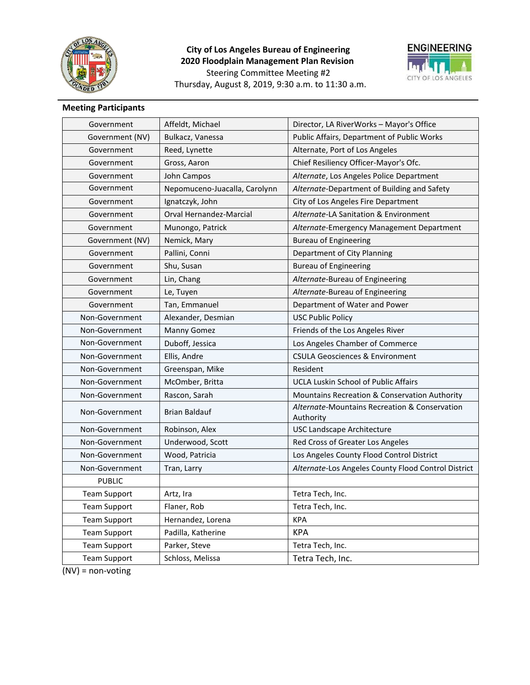

# **City of Los Angeles Bureau of Engineering 2020 Floodplain Management Plan Revision** Steering Committee Meeting #2 Thursday, August 8, 2019, 9:30 a.m. to 11:30 a.m.



# **Meeting Participants**

| Government          | Affeldt, Michael              | Director, LA RiverWorks - Mayor's Office                   |
|---------------------|-------------------------------|------------------------------------------------------------|
| Government (NV)     | Bulkacz, Vanessa              | <b>Public Affairs, Department of Public Works</b>          |
| Government          | Reed, Lynette                 | Alternate, Port of Los Angeles                             |
| Government          | Gross, Aaron                  | Chief Resiliency Officer-Mayor's Ofc.                      |
| Government          | John Campos                   | Alternate, Los Angeles Police Department                   |
| Government          | Nepomuceno-Juacalla, Carolynn | Alternate-Department of Building and Safety                |
| Government          | Ignatczyk, John               | City of Los Angeles Fire Department                        |
| Government          | Orval Hernandez-Marcial       | Alternate-LA Sanitation & Environment                      |
| Government          | Munongo, Patrick              | Alternate-Emergency Management Department                  |
| Government (NV)     | Nemick, Mary                  | <b>Bureau of Engineering</b>                               |
| Government          | Pallini, Conni                | Department of City Planning                                |
| Government          | Shu, Susan                    | <b>Bureau of Engineering</b>                               |
| Government          | Lin, Chang                    | Alternate-Bureau of Engineering                            |
| Government          | Le, Tuyen                     | Alternate-Bureau of Engineering                            |
| Government          | Tan, Emmanuel                 | Department of Water and Power                              |
| Non-Government      | Alexander, Desmian            | <b>USC Public Policy</b>                                   |
| Non-Government      | Manny Gomez                   | Friends of the Los Angeles River                           |
| Non-Government      | Duboff, Jessica               | Los Angeles Chamber of Commerce                            |
| Non-Government      | Ellis, Andre                  | <b>CSULA Geosciences &amp; Environment</b>                 |
| Non-Government      | Greenspan, Mike               | Resident                                                   |
| Non-Government      | McOmber, Britta               | <b>UCLA Luskin School of Public Affairs</b>                |
| Non-Government      | Rascon, Sarah                 | Mountains Recreation & Conservation Authority              |
| Non-Government      | <b>Brian Baldauf</b>          | Alternate-Mountains Recreation & Conservation<br>Authority |
| Non-Government      | Robinson, Alex                | <b>USC Landscape Architecture</b>                          |
| Non-Government      | Underwood, Scott              | Red Cross of Greater Los Angeles                           |
| Non-Government      | Wood, Patricia                | Los Angeles County Flood Control District                  |
| Non-Government      | Tran, Larry                   | Alternate-Los Angeles County Flood Control District        |
| <b>PUBLIC</b>       |                               |                                                            |
| <b>Team Support</b> | Artz, Ira                     | Tetra Tech, Inc.                                           |
| <b>Team Support</b> | Flaner, Rob                   | Tetra Tech, Inc.                                           |
| <b>Team Support</b> | Hernandez, Lorena             | <b>KPA</b>                                                 |
| <b>Team Support</b> | Padilla, Katherine            | <b>KPA</b>                                                 |
| <b>Team Support</b> | Parker, Steve                 | Tetra Tech, Inc.                                           |
| <b>Team Support</b> | Schloss, Melissa              | Tetra Tech, Inc.                                           |

(NV) = non-voting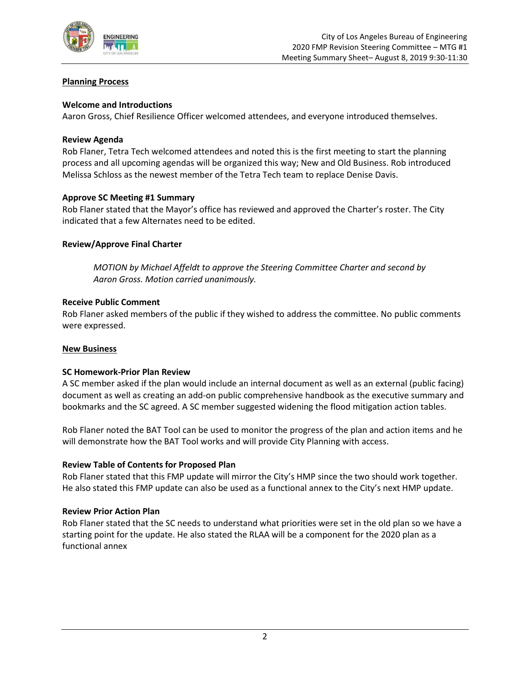

### **Planning Process**

### **Welcome and Introductions**

Aaron Gross, Chief Resilience Officer welcomed attendees, and everyone introduced themselves.

### **Review Agenda**

Rob Flaner, Tetra Tech welcomed attendees and noted this is the first meeting to start the planning process and all upcoming agendas will be organized this way; New and Old Business. Rob introduced Melissa Schloss as the newest member of the Tetra Tech team to replace Denise Davis.

### **Approve SC Meeting #1 Summary**

Rob Flaner stated that the Mayor's office has reviewed and approved the Charter's roster. The City indicated that a few Alternates need to be edited.

### **Review/Approve Final Charter**

*MOTION by Michael Affeldt to approve the Steering Committee Charter and second by Aaron Gross. Motion carried unanimously.*

#### **Receive Public Comment**

Rob Flaner asked members of the public if they wished to address the committee. No public comments were expressed.

#### **New Business**

#### **SC Homework-Prior Plan Review**

A SC member asked if the plan would include an internal document as well as an external (public facing) document as well as creating an add-on public comprehensive handbook as the executive summary and bookmarks and the SC agreed. A SC member suggested widening the flood mitigation action tables.

Rob Flaner noted the BAT Tool can be used to monitor the progress of the plan and action items and he will demonstrate how the BAT Tool works and will provide City Planning with access.

#### **Review Table of Contents for Proposed Plan**

Rob Flaner stated that this FMP update will mirror the City's HMP since the two should work together. He also stated this FMP update can also be used as a functional annex to the City's next HMP update.

#### **Review Prior Action Plan**

Rob Flaner stated that the SC needs to understand what priorities were set in the old plan so we have a starting point for the update. He also stated the RLAA will be a component for the 2020 plan as a functional annex